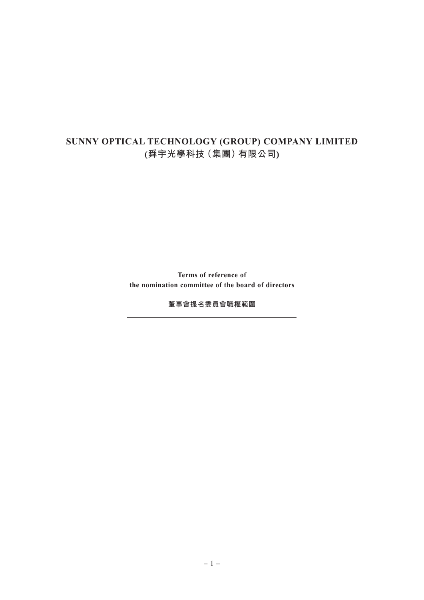## **SUNNY OPTICAL TECHNOLOGY (GROUP) COMPANY LIMITED (舜宇光學科技(集團)有限公司)**

**Terms of reference of the nomination committee of the board of directors**

**董事會提名委員會職權範圍**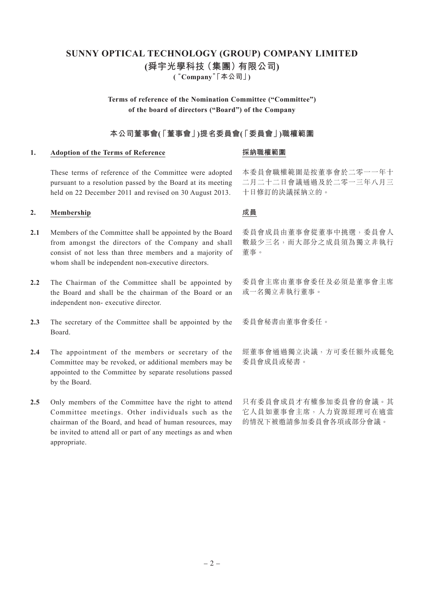# **SUNNY OPTICAL TECHNOLOGY (GROUP) COMPANY LIMITED (舜宇光學科技(集團)有限公司)**

**("Company"「本公司」)**

**Terms of reference of the Nomination Committee ("Committee") of the board of directors ("Board") of the Company**

### **本公司董事會(「董事會」)提名委員會(「委員會」)職權範圍**

#### **1. Adoption of the Terms of Reference**

### **採納職權範圍**

These terms of reference of the Committee were adopted pursuant to a resolution passed by the Board at its meeting held on 22 December 2011 and revised on 30 August 2013.

#### **2. Membership**

- 2.1 Members of the Committee shall be appointed by the Board from amongst the directors of the Company and shall consist of not less than three members and a majority of whom shall be independent non-executive directors.
- 2.2 The Chairman of the Committee shall be appointed by the Board and shall be the chairman of the Board or an independent non- executive director.
- 2.3 The secretary of the Committee shall be appointed by the Board.
- **2.4** The appointment of the members or secretary of the Committee may be revoked, or additional members may be appointed to the Committee by separate resolutions passed by the Board.
- **2.5** Only members of the Committee have the right to attend Committee meetings. Other individuals such as the chairman of the Board, and head of human resources, may be invited to attend all or part of any meetings as and when appropriate.

本委員會職權範圍是按董事會於二零一一年十 二月二十二日會議通過及於二零一三年八月三 十日修訂的決議採納立的。

### **成員**

委員會成員由董事會從董事中挑選,委員會人 數最少三名,而大部分之成員須為獨立非執行 董事。

委員會主席由董事會委任及必須是董事會主席 或一名獨立非執行董事。

委員會秘書由董事會委任。

經董事會通過獨立決議,方可委任額外或罷免 委員會成員或秘書。

只有委員會成員才有權參加委員會的會議。其 它人員如董事會主席,人力資源經理可在適當 的情況下被邀請參加委員會各項或部分會議。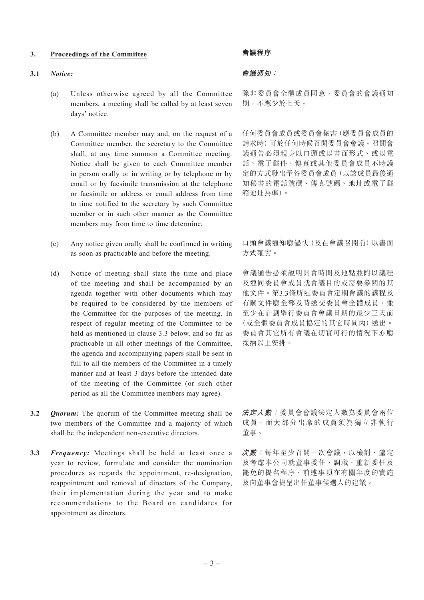#### **3. Proceedings of the Committee**

#### **3.1** *Notice:*

- (a) Unless otherwise agreed by all the Committee members, a meeting shall be called by at least seven days' notice.
- (b) A Committee member may and, on the request of a Committee member, the secretary to the Committee shall, at any time summon a Committee meeting. Notice shall be given to each Committee member in person orally or in writing or by telephone or by email or by facsimile transmission at the telephone or facsimile or address or email address from time to time notified to the secretary by such Committee member or in such other manner as the Committee members may from time to time determine.
- (c) Any notice given orally shall be confirmed in writing as soon as practicable and before the meeting.
- (d) Notice of meeting shall state the time and place of the meeting and shall be accompanied by an agenda together with other documents which may be required to be considered by the members of the Committee for the purposes of the meeting. In respect of regular meeting of the Committee to be held as mentioned in clause 3.3 below, and so far as practicable in all other meetings of the Committee, the agenda and accompanying papers shall be sent in full to all the members of the Committee in a timely manner and at least 3 days before the intended date of the meeting of the Committee (or such other period as all the Committee members may agree).
- **3.2** *Quorum:* The quorum of the Committee meeting shall be two members of the Committee and a majority of which shall be the independent non-executive directors.
- **3.3** *Frequency:* Meetings shall be held at least once a year to review, formulate and consider the nomination procedures as regards the appointment, re-designation, reappointment and removal of directors of the Company, their implementation during the year and to make recommendations to the Board on candidates for appointment as directors.

#### **會議程序**

#### **會議通知:**

除非委員會全體成員同意,委員會的會議通知 期,不應少於七天。

任何委員會成員或委員會秘書(應委員會成員的 請求時)可於任何時候召開委員會會議。召開會 議通告必須親身以口頭或以書面形式、或以電 話、電子郵件、傳真或其他委員會成員不時議 定的方式發出予各委員會成員(以該成員最後通 知秘書的電話號碼、傳真號碼、地址或電子郵 箱地址為準)。

口頭會議通知應儘快(及在會議召開前)以書面 方式確實。

會議通告必須說明開會時間及地點並附以議程 及連同委員會成員就會議目的或需要參閱的其 他文件。第3.3條所述委員會定期會議的議程及 有關文件應全部及時送交委員會全體成員,並 至少在計劃舉行委員會會議日期的最少三天前 (或全體委員會成員協定的其它時間內)送出。 委員會其它所有會議在切實可行的情況下亦應 採納以上安排。

**法定人數:** 委員會會議法定人數為委員會兩位 成員,而大部分出席的成員須為獨立非執行 董事。

**次數:** 每年至少召開一次會議,以檢討、釐定 及考慮本公司就董事委任、調職、重新委任及 罷免的提名程序、前述事項在有關年度的實施 及向董事會提呈出任董事候選人的建議。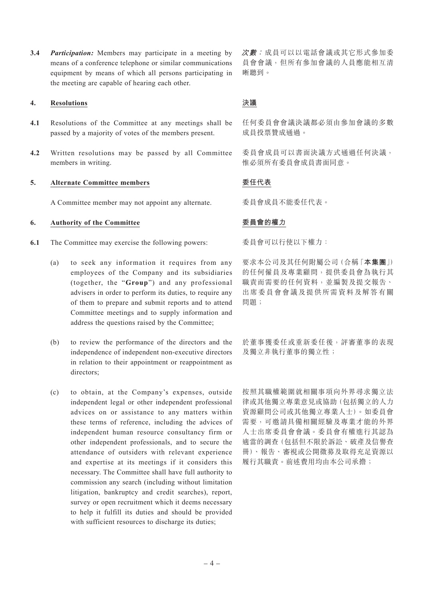**3.4** *Participation:* Members may participate in a meeting by means of a conference telephone or similar communications equipment by means of which all persons participating in the meeting are capable of hearing each other.

#### **4. Resolutions**

- **4.1** Resolutions of the Committee at any meetings shall be passed by a majority of votes of the members present.
- **4.2** Written resolutions may be passed by all Committee members in writing.

#### **5. Alternate Committee members**

A Committee member may not appoint any alternate.

#### **6. Authority of the Committee**

- **6.1** The Committee may exercise the following powers:
	- (a) to seek any information it requires from any employees of the Company and its subsidiaries (together, the "**Group**") and any professional advisers in order to perform its duties, to require any of them to prepare and submit reports and to attend Committee meetings and to supply information and address the questions raised by the Committee;
	- (b) to review the performance of the directors and the independence of independent non-executive directors in relation to their appointment or reappointment as directors;
	- (c) to obtain, at the Company's expenses, outside independent legal or other independent professional advices on or assistance to any matters within these terms of reference, including the advices of independent human resource consultancy firm or other independent professionals, and to secure the attendance of outsiders with relevant experience and expertise at its meetings if it considers this necessary. The Committee shall have full authority to commission any search (including without limitation litigation, bankruptcy and credit searches), report, survey or open recruitment which it deems necessary to help it fulfill its duties and should be provided with sufficient resources to discharge its duties;

**次數:** 成員可以以電話會議或其它形式參加委 員會會議,但所有參加會議的人員應能相互清 晰聽到。

### **決議**

任何委員會會議決議都必須由參加會議的多數 成員投票贊成通過。

委員會成員可以書面決議方式通過任何決議, 惟必須所有委員會成員書面同意。

### **委任代表**

委員會成員不能委任代表。

#### **委員會的權力**

委員會可以行使以下權力:

要求本公司及其任何附屬公司(合稱「**本集團**」) 的任何僱員及專業顧問,提供委員會為執行其 職責而需要的任何資料,並編製及提交報告、 出席委員會會議及提供所需資料及解答有關 問題;

於董事獲委任或重新委任後,評審董事的表現 及獨立非執行董事的獨立性;

按照其職權範圍就相關事項向外界尋求獨立法 律或其他獨立專業意見或協助(包括獨立的人力 資源顧問公司或其他獨立專業人士)。如委員會 需要,可邀請具備相關經驗及專業才能的外界 人士出席委員會會議。委員會有權進行其認為 適當的調查(包括但不限於訴訟、破產及信譽查 冊)、報告、審視或公開徵募及取得充足資源以 履行其職責。前述費用均由本公司承擔;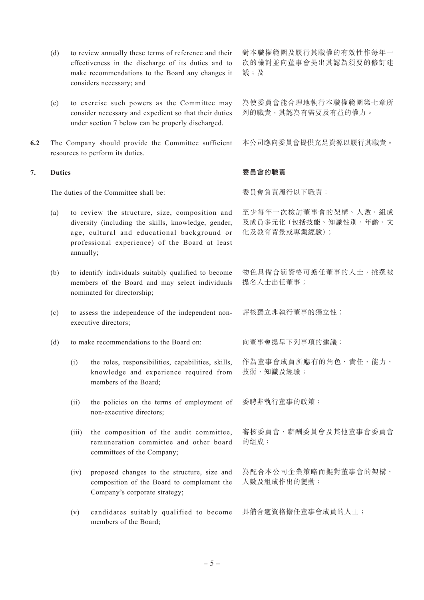- (d) to review annually these terms of reference and their effectiveness in the discharge of its duties and to make recommendations to the Board any changes it considers necessary; and
- (e) to exercise such powers as the Committee may consider necessary and expedient so that their duties under section 7 below can be properly discharged.
- **6.2** The Company should provide the Committee sufficient resources to perform its duties.

#### **7. Duties**

The duties of the Committee shall be:

- (a) to review the structure, size, composition and diversity (including the skills, knowledge, gender, age, cultural and educational background or professional experience) of the Board at least annually;
- (b) to identify individuals suitably qualified to become members of the Board and may select individuals nominated for directorship;
- (c) to assess the independence of the independent nonexecutive directors;
- (d) to make recommendations to the Board on:
	- (i) the roles, responsibilities, capabilities, skills, knowledge and experience required from members of the Board;
	- (ii) the policies on the terms of employment of non-executive directors;
	- (iii) the composition of the audit committee, remuneration committee and other board committees of the Company;
	- (iv) proposed changes to the structure, size and composition of the Board to complement the Company's corporate strategy;
	- 具備合適資格擔任董事會成員的人士; (v) candidates suitably qualified to become members of the Board;

對本職權範圍及履行其職權的有效性作每年一 次的檢討並向董事會提出其認為須要的修訂建 議;及

為使委員會能合理地執行本職權範圍第七章所 列的職責,其認為有需要及有益的權力。

本公司應向委員會提供充足資源以履行其職責。

#### **委員會的職責**

委員會負責履行以下職責:

- 至少每年一次檢討董事會的架構、人數、組成 及成員多元化(包括技能、知識性別、年齡、文 化及教育背景或專業經驗);
- 物色具備合適資格可擔任董事的人士,挑選被 提名人士出任董事;
- 評核獨立非執行董事的獨立性;

向董事會提呈下列事項的建議:

作為董事會成員所應有的角色、責任、能力、 技術、知識及經驗;

委聘非執行董事的政策;

審核委員會、薪酬委員會及其他董事會委員會 的組成;

為配合本公司企業策略而擬對董事會的架構、 人數及組成作出的變動;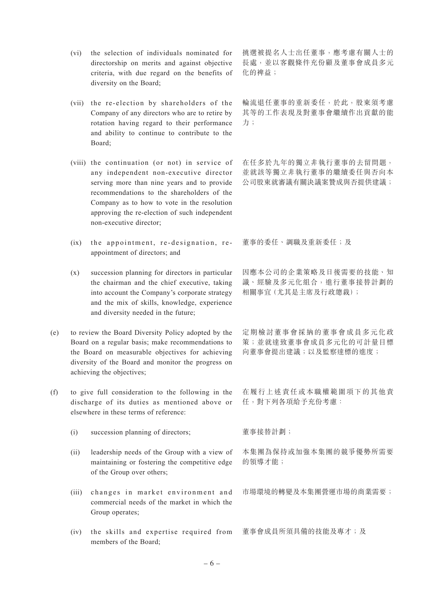- (vi) the selection of individuals nominated for directorship on merits and against objective criteria, with due regard on the benefits of diversity on the Board;
- (vii) the re-election by shareholders of the Company of any directors who are to retire by rotation having regard to their performance and ability to continue to contribute to the Board;
- (viii) the continuation (or not) in service of any independent non-executive director serving more than nine years and to provide recommendations to the shareholders of the Company as to how to vote in the resolution approving the re-election of such independent non-executive director;
- (ix) the appointment, re-designation, reappointment of directors; and
- (x) succession planning for directors in particular the chairman and the chief executive, taking into account the Company's corporate strategy and the mix of skills, knowledge, experience and diversity needed in the future;
- (e) to review the Board Diversity Policy adopted by the Board on a regular basis; make recommendations to the Board on measurable objectives for achieving diversity of the Board and monitor the progress on achieving the objectives;
- (f) to give full consideration to the following in the discharge of its duties as mentioned above or elsewhere in these terms of reference:
	- (i) succession planning of directors;
	- (ii) leadership needs of the Group with a view of maintaining or fostering the competitive edge of the Group over others;
	- (iii) changes in market environment and commercial needs of the market in which the Group operates;
	- (iv) the skills and expertise required from members of the Board;

挑選被提名人士出任董事,應考慮有關人士的 長處,並以客觀條件充份顧及董事會成員多元 化的裨益;

輪流退任董事的重新委任,於此,股東須考慮 其等的工作表現及對董事會繼續作出貢獻的能 力;

在任多於九年的獨立非執行董事的去留問題, 並就該等獨立非執行董事的繼續委任與否向本 公司股東就審議有關決議案贊成與否提供建議;

董事的委任、調職及重新委任;及

因應本公司的企業策略及日後需要的技能、知 識、經驗及多元化組合,進行董事接替計劃的 相關事宜(尤其是主席及行政總裁);

定期檢討董事會採納的董事會成員多元化政 策;並就達致董事會成員多元化的可計量目標 向董事會提出建議;以及監察達標的進度;

在履行上述責任或本職權範圍項下的其他責 任,對下列各項給予充份考慮:

董事接替計劃;

本集團為保持或加強本集團的競爭優勢所需要 的領導才能;

市場環境的轉變及本集團營運市場的商業需要;

董事會成員所須具備的技能及專才;及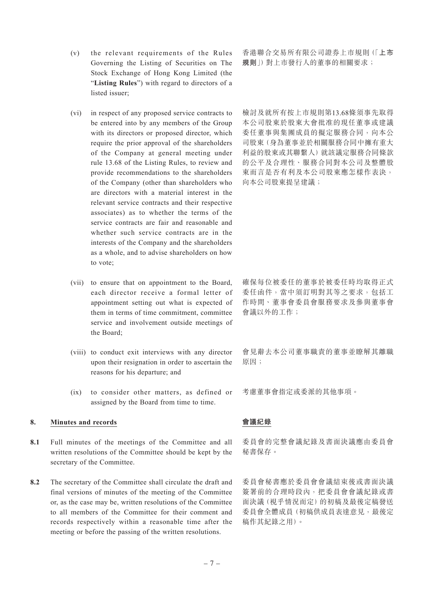- (v) the relevant requirements of the Rules Governing the Listing of Securities on The Stock Exchange of Hong Kong Limited (the "**Listing Rules**") with regard to directors of a listed issuer;
- (vi) in respect of any proposed service contracts to be entered into by any members of the Group with its directors or proposed director, which require the prior approval of the shareholders of the Company at general meeting under rule 13.68 of the Listing Rules, to review and provide recommendations to the shareholders of the Company (other than shareholders who are directors with a material interest in the relevant service contracts and their respective associates) as to whether the terms of the service contracts are fair and reasonable and whether such service contracts are in the interests of the Company and the shareholders as a whole, and to advise shareholders on how to vote;
- (vii) to ensure that on appointment to the Board, each director receive a formal letter of appointment setting out what is expected of them in terms of time commitment, committee service and involvement outside meetings of the Board;
- (viii) to conduct exit interviews with any director upon their resignation in order to ascertain the reasons for his departure; and
- (ix) to consider other matters, as defined or assigned by the Board from time to time.

#### **8. Minutes and records**

- **8.1** Full minutes of the meetings of the Committee and all written resolutions of the Committee should be kept by the secretary of the Committee.
- **8.2** The secretary of the Committee shall circulate the draft and final versions of minutes of the meeting of the Committee or, as the case may be, written resolutions of the Committee to all members of the Committee for their comment and records respectively within a reasonable time after the meeting or before the passing of the written resolutions.

香港聯合交易所有限公司證券上市規則(「**上市 規則**」)對上市發行人的董事的相關要求;

檢討及就所有按上市規則第13.68條須事先取得 本公司股東於股東大會批准的現任董事或建議 委任董事與集團成員的擬定服務合同,向本公 司股東(身為董事並於相關服務合同中擁有重大 利益的股東或其聯繫人)就該議定服務合同條款 的公平及合理性、服務合同對本公司及整體股 東而言是否有利及本公司股東應怎樣作表決, 向本公司股東提呈建議;

確保每位被委任的董事於被委任時均取得正式 委任函件,當中須訂明對其等之要求,包括工 作時間、董事會委員會服務要求及參與董事會 會議以外的工作;

會見辭去本公司董事職責的董事並瞭解其離職 原因;

考慮董事會指定或委派的其他事項。

#### **會議紀錄**

委員會的完整會議紀錄及書面決議應由委員會 秘書保存。

委員會秘書應於委員會會議結束後或書面決議 簽署前的合理時段內,把委員會會議紀錄或書 面決議(視乎情況而定)的初稿及最後定稿發送 委員會全體成員(初稿供成員表達意見,最後定 稿作其紀錄之用)。